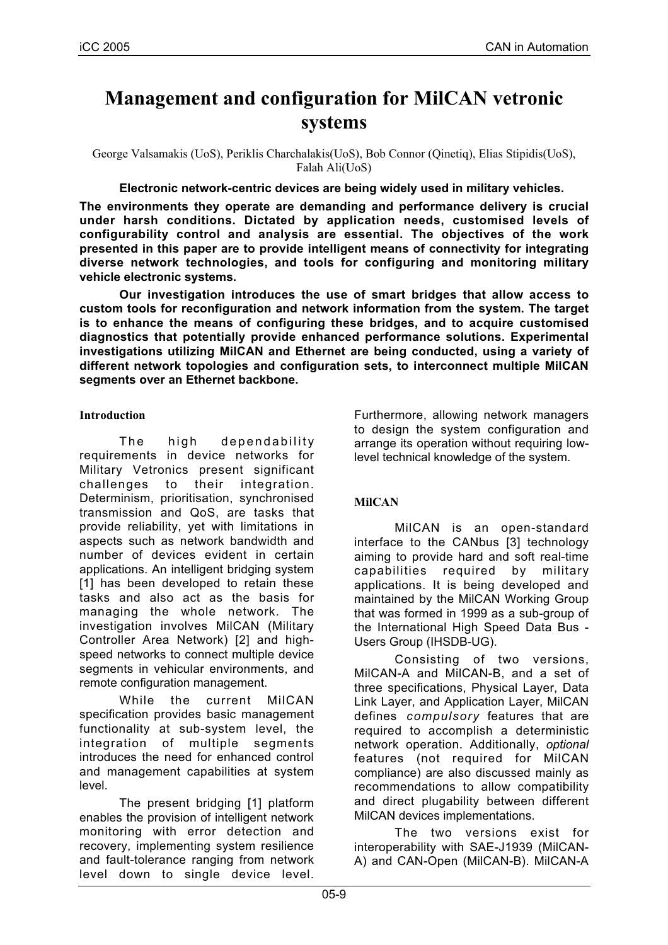# **Management and configuration for MilCAN vetronic systems**

George Valsamakis (UoS), Periklis Charchalakis(UoS), Bob Connor (Qinetiq), Elias Stipidis(UoS), Falah Ali(UoS)

**Electronic network-centric devices are being widely used in military vehicles.**

**The environments they operate are demanding and performance delivery is crucial under harsh conditions. Dictated by application needs, customised levels of configurability control and analysis are essential. The objectives of the work presented in this paper are to provide intelligent means of connectivity for integrating diverse network technologies, and tools for configuring and monitoring military vehicle electronic systems.**

**Our investigation introduces the use of smart bridges that allow access to custom tools for reconfiguration and network information from the system. The target is to enhance the means of configuring these bridges, and to acquire customised diagnostics that potentially provide enhanced performance solutions. Experimental investigations utilizing MilCAN and Ethernet are being conducted, using a variety of different network topologies and configuration sets, to interconnect multiple MilCAN segments over an Ethernet backbone.**

## **Introduction**

The high dependability requirements in device networks for Military Vetronics present significant challenges to their integration. Determinism, prioritisation, synchronised transmission and QoS, are tasks that provide reliability, yet with limitations in aspects such as network bandwidth and number of devices evident in certain applications. An intelligent bridging system [1] has been developed to retain these tasks and also act as the basis for managing the whole network. The investigation involves MilCAN (Military Controller Area Network) [2] and highspeed networks to connect multiple device segments in vehicular environments, and remote configuration management.

While the current MilCAN specification provides basic management functionality at sub-system level, the integration of multiple segments introduces the need for enhanced control and management capabilities at system level.

The present bridging [1] platform enables the provision of intelligent network monitoring with error detection and recovery, implementing system resilience and fault-tolerance ranging from network level down to single device level.

Furthermore, allowing network managers to design the system configuration and arrange its operation without requiring lowlevel technical knowledge of the system.

# **MilCAN**

MilCAN is an open-standard interface to the CANbus [3] technology aiming to provide hard and soft real-time capabilities required by military applications. It is being developed and maintained by the MilCAN Working Group that was formed in 1999 as a sub-group of the International High Speed Data Bus - Users Group (IHSDB-UG).

Consisting of two versions, MilCAN-A and MilCAN-B, and a set of three specifications, Physical Layer, Data Link Layer, and Application Layer, MilCAN defines *compulsory* features that are required to accomplish a deterministic network operation. Additionally, *optional* features (not required for MilCAN compliance) are also discussed mainly as recommendations to allow compatibility and direct plugability between different MilCAN devices implementations.

The two versions exist for interoperability with SAE-J1939 (MilCAN-A) and CAN-Open (MilCAN-B). MilCAN-A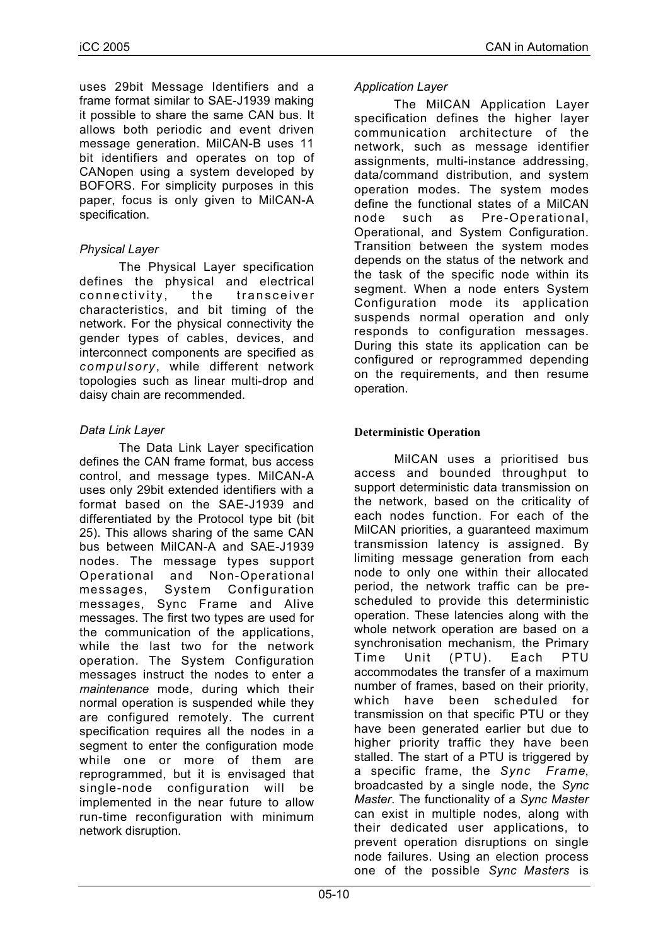uses 29bit Message Identifiers and a frame format similar to SAE-J1939 making it possible to share the same CAN bus. It allows both periodic and event driven message generation. MilCAN-B uses 11 bit identifiers and operates on top of CANopen using a system developed by BOFORS. For simplicity purposes in this paper, focus is only given to MilCAN-A specification.

# *Physical Layer*

The Physical Layer specification defines the physical and electrical connectivity, the transceiver characteristics, and bit timing of the network. For the physical connectivity the gender types of cables, devices, and interconnect components are specified as *compulsory*, while different network topologies such as linear multi-drop and daisy chain are recommended.

# *Data Link Layer*

The Data Link Layer specification defines the CAN frame format, bus access control, and message types. MilCAN-A uses only 29bit extended identifiers with a format based on the SAE-J1939 and differentiated by the Protocol type bit (bit 25). This allows sharing of the same CAN bus between MilCAN-A and SAE-J1939 nodes. The message types support Operational and Non-Operational messages, System Configuration messages, Sync Frame and Alive messages. The first two types are used for the communication of the applications, while the last two for the network operation. The System Configuration messages instruct the nodes to enter a *maintenance* mode, during which their normal operation is suspended while they are configured remotely. The current specification requires all the nodes in a segment to enter the configuration mode while one or more of them are reprogrammed, but it is envisaged that single-node configuration will be implemented in the near future to allow run-time reconfiguration with minimum network disruption.

# *Application Layer*

The MilCAN Application Layer specification defines the higher layer communication architecture of the network, such as message identifier assignments, multi-instance addressing, data/command distribution, and system operation modes. The system modes define the functional states of a MilCAN node such as Pre-Operational, Operational, and System Configuration. Transition between the system modes depends on the status of the network and the task of the specific node within its segment. When a node enters System Configuration mode its application suspends normal operation and only responds to configuration messages. During this state its application can be configured or reprogrammed depending on the requirements, and then resume operation.

# **Deterministic Operation**

MilCAN uses a prioritised bus access and bounded throughput to support deterministic data transmission on the network, based on the criticality of each nodes function. For each of the MilCAN priorities, a guaranteed maximum transmission latency is assigned. By limiting message generation from each node to only one within their allocated period, the network traffic can be prescheduled to provide this deterministic operation. These latencies along with the whole network operation are based on a synchronisation mechanism, the Primary Time Unit (PTU). Each PTU accommodates the transfer of a maximum number of frames, based on their priority, which have been scheduled for transmission on that specific PTU or they have been generated earlier but due to higher priority traffic they have been stalled. The start of a PTU is triggered by a specific frame, the *Sync Frame*, broadcasted by a single node, the *Sync Master*. The functionality of a *Sync Master* can exist in multiple nodes, along with their dedicated user applications, to prevent operation disruptions on single node failures. Using an election process one of the possible *Sync Masters* is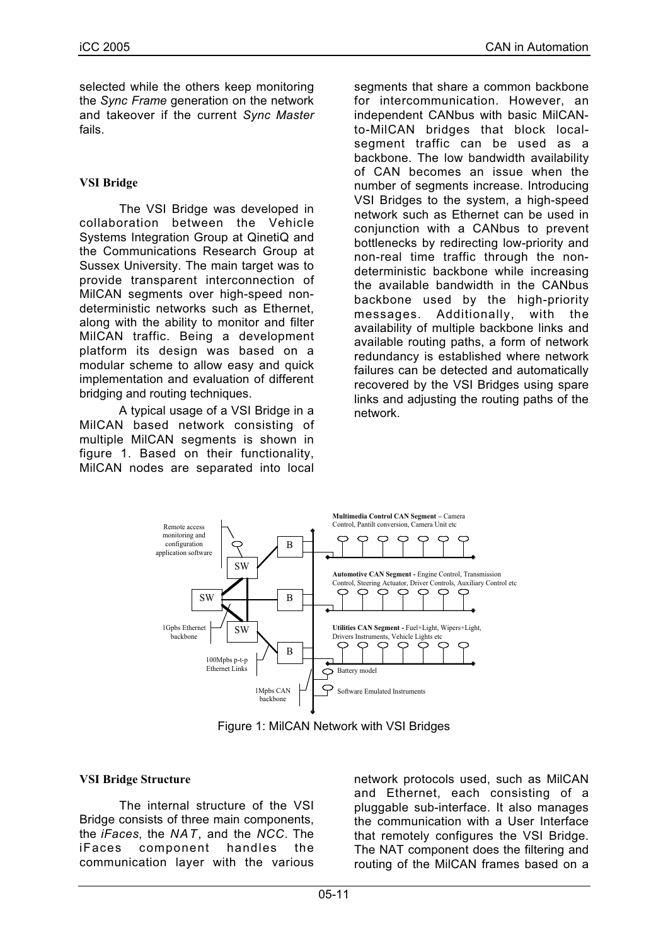selected while the others keep monitoring the *Sync Frame* generation on the network and takeover if the current *Sync Master* fails.

## **VSI Bridge**

The VSI Bridge was developed in collaboration between the Vehicle Systems Integration Group at QinetiQ and the Communications Research Group at Sussex University. The main target was to provide transparent interconnection of MilCAN segments over high-speed nondeterministic networks such as Ethernet, along with the ability to monitor and filter MilCAN traffic. Being a development platform its design was based on a modular scheme to allow easy and quick implementation and evaluation of different bridging and routing techniques.

A typical usage of a VSI Bridge in a MilCAN based network consisting of multiple MilCAN segments is shown in figure 1. Based on their functionality, MilCAN nodes are separated into local

segments that share a common backbone for intercommunication. However, an independent CANbus with basic MilCANto-MilCAN bridges that block localsegment traffic can be used as a backbone. The low bandwidth availability of CAN becomes an issue when the number of segments increase. Introducing VSI Bridges to the system, a high-speed network such as Ethernet can be used in conjunction with a CANbus to prevent bottlenecks by redirecting low-priority and non-real time traffic through the nondeterministic backbone while increasing the available bandwidth in the CANbus backbone used by the high-priority messages. Additionally, with the availability of multiple backbone links and available routing paths, a form of network redundancy is established where network failures can be detected and automatically recovered by the VSI Bridges using spare links and adjusting the routing paths of the network.



Figure 1: MilCAN Network with VSI Bridges

#### **VSI Bridge Structure**

The internal structure of the VSI Bridge consists of three main components, the *iFaces*, the *NAT*, and the *NCC*. The iFaces component handles the communication layer with the various network protocols used, such as MilCAN and Ethernet, each consisting of a pluggable sub-interface. It also manages the communication with a User Interface that remotely configures the VSI Bridge. The NAT component does the filtering and routing of the MilCAN frames based on a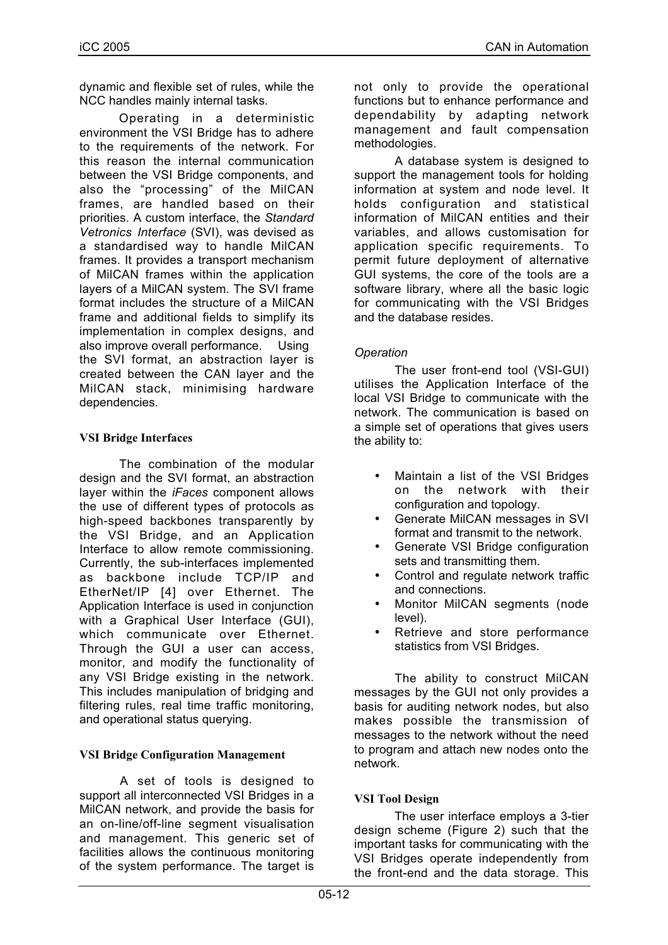dynamic and flexible set of rules, while the NCC handles mainly internal tasks.

Operating in a deterministic environment the VSI Bridge has to adhere to the requirements of the network. For this reason the internal communication between the VSI Bridge components, and also the "processing" of the MilCAN frames, are handled based on their priorities. A custom interface, the *Standard Vetronics Interface* (SVI), was devised as a standardised way to handle MilCAN frames. It provides a transport mechanism of MilCAN frames within the application layers of a MilCAN system. The SVI frame format includes the structure of a MilCAN frame and additional fields to simplify its implementation in complex designs, and also improve overall performance. Using the SVI format, an abstraction layer is created between the CAN layer and the MilCAN stack, minimising hardware dependencies.

# **VSI Bridge Interfaces**

The combination of the modular design and the SVI format, an abstraction layer within the *iFaces* component allows the use of different types of protocols as high-speed backbones transparently by the VSI Bridge, and an Application Interface to allow remote commissioning. Currently, the sub-interfaces implemented as backbone include TCP/IP and EtherNet/IP [4] over Ethernet. The Application Interface is used in conjunction with a Graphical User Interface (GUI), which communicate over Ethernet. Through the GUI a user can access, monitor, and modify the functionality of any VSI Bridge existing in the network. This includes manipulation of bridging and filtering rules, real time traffic monitoring, and operational status querying.

#### **VSI Bridge Configuration Management**

A set of tools is designed to support all interconnected VSI Bridges in a MilCAN network, and provide the basis for an on-line/off-line segment visualisation and management. This generic set of facilities allows the continuous monitoring of the system performance. The target is

not only to provide the operational functions but to enhance performance and dependability by adapting network management and fault compensation methodologies.

A database system is designed to support the management tools for holding information at system and node level. It holds configuration and statistical information of MilCAN entities and their variables, and allows customisation for application specific requirements. To permit future deployment of alternative GUI systems, the core of the tools are a software library, where all the basic logic for communicating with the VSI Bridges and the database resides.

## *Operation*

The user front-end tool (VSI-GUI) utilises the Application Interface of the local VSI Bridge to communicate with the network. The communication is based on a simple set of operations that gives users the ability to:

- Maintain a list of the VSI Bridges on the network with their configuration and topology.
- Generate MilCAN messages in SVI format and transmit to the network.
- Generate VSI Bridge configuration sets and transmitting them.
- Control and regulate network traffic and connections.
- Monitor MilCAN segments (node level).
- Retrieve and store performance statistics from VSI Bridges.

The ability to construct MilCAN messages by the GUI not only provides a basis for auditing network nodes, but also makes possible the transmission of messages to the network without the need to program and attach new nodes onto the network.

# **VSI Tool Design**

The user interface employs a 3-tier design scheme (Figure 2) such that the important tasks for communicating with the VSI Bridges operate independently from the front-end and the data storage. This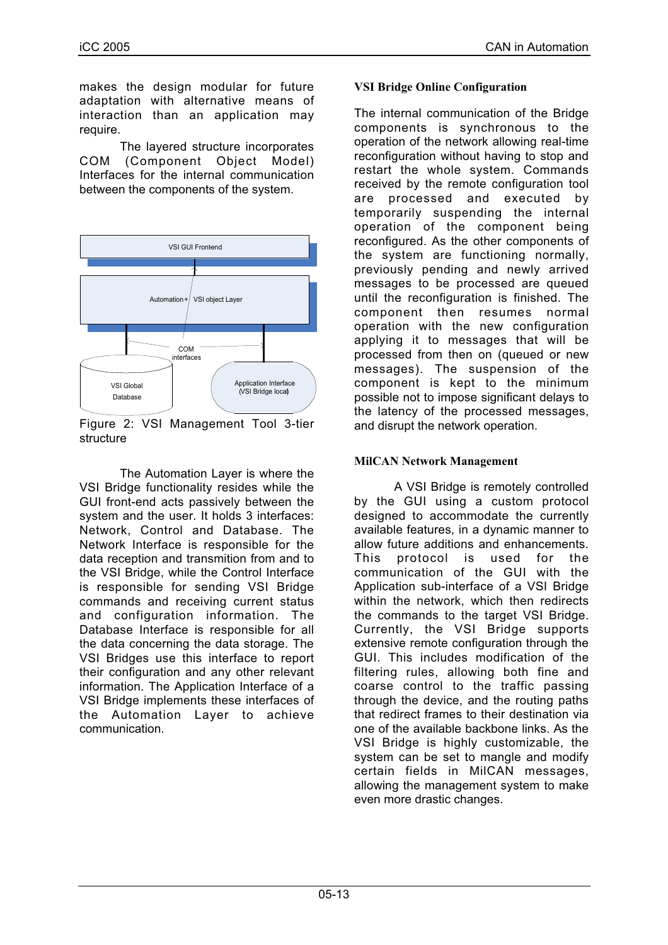makes the design modular for future adaptation with alternative means of interaction than an application may require.

The layered structure incorporates COM (Component Object Model) Interfaces for the internal communication between the components of the system.



Figure 2: VSI Management Tool 3-tier structure

The Automation Layer is where the VSI Bridge functionality resides while the GUI front-end acts passively between the system and the user. It holds 3 interfaces: Network, Control and Database. The Network Interface is responsible for the data reception and transmition from and to the VSI Bridge, while the Control Interface is responsible for sending VSI Bridge commands and receiving current status and configuration information. The Database Interface is responsible for all the data concerning the data storage. The VSI Bridges use this interface to report their configuration and any other relevant information. The Application Interface of a VSI Bridge implements these interfaces of the Automation Layer to achieve communication.

## **VSI Bridge Online Configuration**

The internal communication of the Bridge components is synchronous to the operation of the network allowing real-time reconfiguration without having to stop and restart the whole system. Commands received by the remote configuration tool are processed and executed by temporarily suspending the internal operation of the component being reconfigured. As the other components of the system are functioning normally, previously pending and newly arrived messages to be processed are queued until the reconfiguration is finished. The component then resumes normal operation with the new configuration applying it to messages that will be processed from then on (queued or new messages). The suspension of the component is kept to the minimum possible not to impose significant delays to the latency of the processed messages, and disrupt the network operation.

## **MilCAN Network Management**

A VSI Bridge is remotely controlled by the GUI using a custom protocol designed to accommodate the currently available features, in a dynamic manner to allow future additions and enhancements. This protocol is used for the communication of the GUI with the Application sub-interface of a VSI Bridge within the network, which then redirects the commands to the target VSI Bridge. Currently, the VSI Bridge supports extensive remote configuration through the GUI. This includes modification of the filtering rules, allowing both fine and coarse control to the traffic passing through the device, and the routing paths that redirect frames to their destination via one of the available backbone links. As the VSI Bridge is highly customizable, the system can be set to mangle and modify certain fields in MilCAN messages, allowing the management system to make even more drastic changes.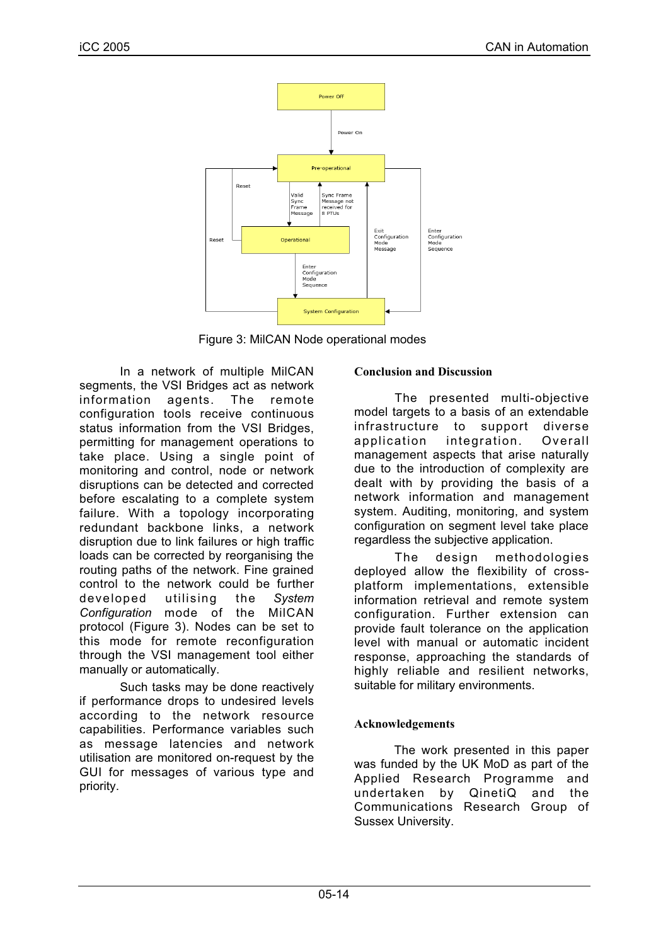

Figure 3: MilCAN Node operational modes

In a network of multiple MilCAN segments, the VSI Bridges act as network information agents. The remote configuration tools receive continuous status information from the VSI Bridges. permitting for management operations to take place. Using a single point of monitoring and control, node or network disruptions can be detected and corrected before escalating to a complete system failure. With a topology incorporating redundant backbone links, a network disruption due to link failures or high traffic loads can be corrected by reorganising the routing paths of the network. Fine grained control to the network could be further developed utilising the *System Configuration* mode of the MilCAN protocol (Figure 3). Nodes can be set to this mode for remote reconfiguration through the VSI management tool either manually or automatically.

Such tasks may be done reactively if performance drops to undesired levels according to the network resource capabilities. Performance variables such as message latencies and network utilisation are monitored on-request by the GUI for messages of various type and priority.

# **Conclusion and Discussion**

The presented multi-objective model targets to a basis of an extendable infrastructure to support diverse application integration. Overall management aspects that arise naturally due to the introduction of complexity are dealt with by providing the basis of a network information and management system. Auditing, monitoring, and system configuration on segment level take place regardless the subjective application.

The design methodologies deployed allow the flexibility of crossplatform implementations, extensible information retrieval and remote system configuration. Further extension can provide fault tolerance on the application level with manual or automatic incident response, approaching the standards of highly reliable and resilient networks, suitable for military environments.

# **Acknowledgements**

The work presented in this paper was funded by the UK MoD as part of the Applied Research Programme and undertaken by QinetiQ and the Communications Research Group of Sussex University.